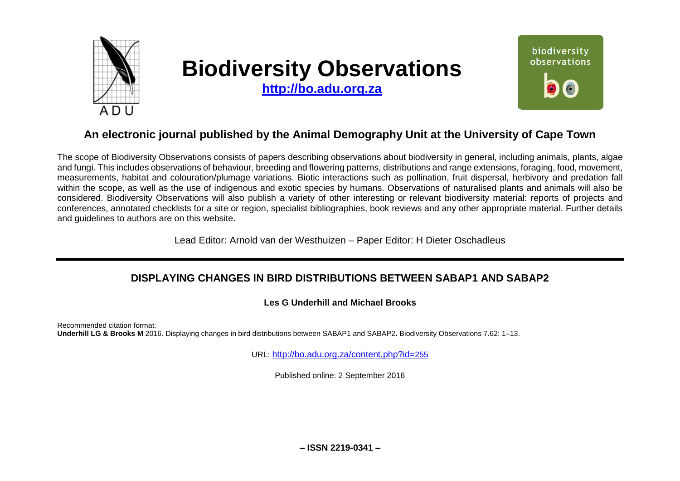

# **Biodiversity Observations**

**[http://bo.adu.org.za](http://bo.adu.org.za/)**



# **An electronic journal published by the Animal Demography Unit at the University of Cape Town**

The scope of Biodiversity Observations consists of papers describing observations about biodiversity in general, including animals, plants, algae and fungi. This includes observations of behaviour, breeding and flowering patterns, distributions and range extensions, foraging, food, movement, measurements, habitat and colouration/plumage variations. Biotic interactions such as pollination, fruit dispersal, herbivory and predation fall within the scope, as well as the use of indigenous and exotic species by humans. Observations of naturalised plants and animals will also be considered. Biodiversity Observations will also publish a variety of other interesting or relevant biodiversity material: reports of projects and conferences, annotated checklists for a site or region, specialist bibliographies, book reviews and any other appropriate material. Further details and guidelines to authors are on this website.

Lead Editor: Arnold van der Westhuizen – Paper Editor: H Dieter Oschadleus

# **DISPLAYING CHANGES IN BIRD DISTRIBUTIONS BETWEEN SABAP1 AND SABAP2**

# **Les G Underhill and Michael Brooks**

Recommended citation format: **Underhill LG & Brooks M** 2016. Displaying changes in bird distributions between SABAP1 and SABAP2**.** Biodiversity Observations 7.62: 1–13.

URL: [http://bo.adu.org.za/content.php?id=](http://bo.adu.org.za/content.php?id=255)255

Published online: 2 September 2016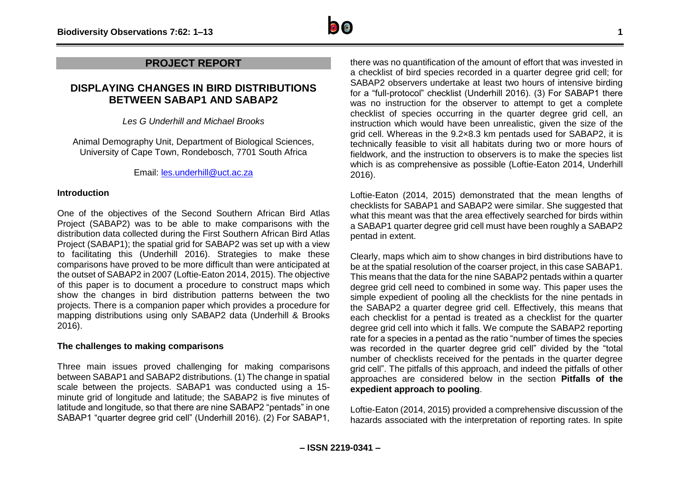# **PROJECT REPORT**

# **DISPLAYING CHANGES IN BIRD DISTRIBUTIONS BETWEEN SABAP1 AND SABAP2**

*Les G Underhill and Michael Brooks*

Animal Demography Unit, Department of Biological Sciences, University of Cape Town, Rondebosch, 7701 South Africa

Email: [les.underhill@uct.ac.za](mailto:les.underhill@uct.ac.za)

# **Introduction**

One of the objectives of the Second Southern African Bird Atlas Project (SABAP2) was to be able to make comparisons with the distribution data collected during the First Southern African Bird Atlas Project (SABAP1); the spatial grid for SABAP2 was set up with a view to facilitating this (Underhill 2016). Strategies to make these comparisons have proved to be more difficult than were anticipated at the outset of SABAP2 in 2007 (Loftie-Eaton 2014, 2015). The objective of this paper is to document a procedure to construct maps which show the changes in bird distribution patterns between the two projects. There is a companion paper which provides a procedure for mapping distributions using only SABAP2 data (Underhill & Brooks 2016).

# **The challenges to making comparisons**

Three main issues proved challenging for making comparisons between SABAP1 and SABAP2 distributions. (1) The change in spatial scale between the projects. SABAP1 was conducted using a 15 minute grid of longitude and latitude; the SABAP2 is five minutes of latitude and longitude, so that there are nine SABAP2 "pentads" in one SABAP1 "quarter degree grid cell" (Underhill 2016). (2) For SABAP1, there was no quantification of the amount of effort that was invested in a checklist of bird species recorded in a quarter degree grid cell; for SABAP2 observers undertake at least two hours of intensive birding for a "full-protocol" checklist (Underhill 2016). (3) For SABAP1 there was no instruction for the observer to attempt to get a complete checklist of species occurring in the quarter degree grid cell, an instruction which would have been unrealistic, given the size of the grid cell. Whereas in the 9.2×8.3 km pentads used for SABAP2, it is technically feasible to visit all habitats during two or more hours of fieldwork, and the instruction to observers is to make the species list which is as comprehensive as possible (Loftie-Eaton 2014, Underhill 2016).

Loftie-Eaton (2014, 2015) demonstrated that the mean lengths of checklists for SABAP1 and SABAP2 were similar. She suggested that what this meant was that the area effectively searched for birds within a SABAP1 quarter degree grid cell must have been roughly a SABAP2 pentad in extent.

Clearly, maps which aim to show changes in bird distributions have to be at the spatial resolution of the coarser project, in this case SABAP1. This means that the data for the nine SABAP2 pentads within a quarter degree grid cell need to combined in some way. This paper uses the simple expedient of pooling all the checklists for the nine pentads in the SABAP2 a quarter degree grid cell. Effectively, this means that each checklist for a pentad is treated as a checklist for the quarter degree grid cell into which it falls. We compute the SABAP2 reporting rate for a species in a pentad as the ratio "number of times the species was recorded in the quarter degree grid cell" divided by the "total number of checklists received for the pentads in the quarter degree grid cell". The pitfalls of this approach, and indeed the pitfalls of other approaches are considered below in the section **Pitfalls of the expedient approach to pooling**.

Loftie-Eaton (2014, 2015) provided a comprehensive discussion of the hazards associated with the interpretation of reporting rates. In spite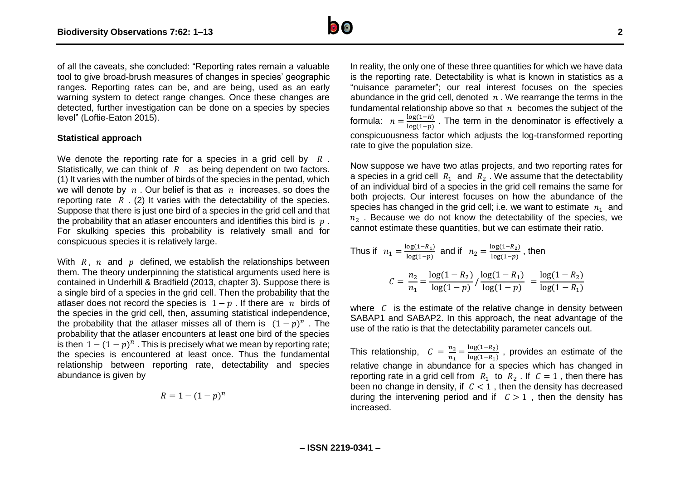

of all the caveats, she concluded: "Reporting rates remain a valuable tool to give broad-brush measures of changes in species' geographic ranges. Reporting rates can be, and are being, used as an early warning system to detect range changes. Once these changes are detected, further investigation can be done on a species by species level" (Loftie-Eaton 2015).

#### **Statistical approach**

We denote the reporting rate for a species in a grid cell by  $R$ . Statistically, we can think of  $R$  as being dependent on two factors. (1) It varies with the number of birds of the species in the pentad, which we will denote by  $n$ . Our belief is that as  $n$  increases, so does the reporting rate  $R$ . (2) It varies with the detectability of the species. Suppose that there is just one bird of a species in the grid cell and that the probability that an atlaser encounters and identifies this bird is  $p$ . For skulking species this probability is relatively small and for conspicuous species it is relatively large.

With  $R$ ,  $n$  and  $p$  defined, we establish the relationships between them. The theory underpinning the statistical arguments used here is contained in Underhill & Bradfield (2013, chapter 3). Suppose there is a single bird of a species in the grid cell. Then the probability that the atlaser does not record the species is  $1 - p$ . If there are *n* birds of the species in the grid cell, then, assuming statistical independence, the probability that the atlaser misses all of them is  $(1-p)^n$ . The probability that the atlaser encounters at least one bird of the species is then  $1 - (1 - p)^n$ . This is precisely what we mean by reporting rate; the species is encountered at least once. Thus the fundamental relationship between reporting rate, detectability and species abundance is given by

$$
R=1-(1-p)^n
$$

In reality, the only one of these three quantities for which we have data is the reporting rate. Detectability is what is known in statistics as a "nuisance parameter"; our real interest focuses on the species abundance in the grid cell, denoted  $n$ . We rearrange the terms in the fundamental relationship above so that  $n$  becomes the subject of the formula:  $n = \frac{\log(1-R)}{\log(1-R)}$  $\frac{\log(1 - n)}{\log(1 - p)}$ . The term in the denominator is effectively a conspicuousness factor which adjusts the log-transformed reporting rate to give the population size.

Now suppose we have two atlas projects, and two reporting rates for a species in a grid cell  $R_1$  and  $R_2$ . We assume that the detectability of an individual bird of a species in the grid cell remains the same for both projects. Our interest focuses on how the abundance of the species has changed in the grid cell; i.e. we want to estimate  $n_1$  and  $n<sub>2</sub>$ . Because we do not know the detectability of the species, we cannot estimate these quantities, but we can estimate their ratio.

Thus if 
$$
n_1 = \frac{\log(1 - R_1)}{\log(1 - p)}
$$
 and if  $n_2 = \frac{\log(1 - R_2)}{\log(1 - p)}$ , then  

$$
C = \frac{n_2}{n_1} = \frac{\log(1 - R_2)}{\log(1 - p)} / \frac{\log(1 - R_1)}{\log(1 - p)} = \frac{\log(1 - R_2)}{\log(1 - R_1)}
$$

where  $C$  is the estimate of the relative change in density between SABAP1 and SABAP2. In this approach, the neat advantage of the use of the ratio is that the detectability parameter cancels out.

This relationship,  $C = \frac{n_2}{n_1}$  $\frac{n_2}{n_1} = \frac{\log(1 - R_2)}{\log(1 - R_1)}$  $\frac{\log(1 - n_2)}{\log(1 - R_1)}$ , provides an estimate of the relative change in abundance for a species which has changed in reporting rate in a grid cell from  $R_1$  to  $R_2$ . If  $C = 1$ , then there has been no change in density, if  $C < 1$ , then the density has decreased during the intervening period and if  $C > 1$ , then the density has increased.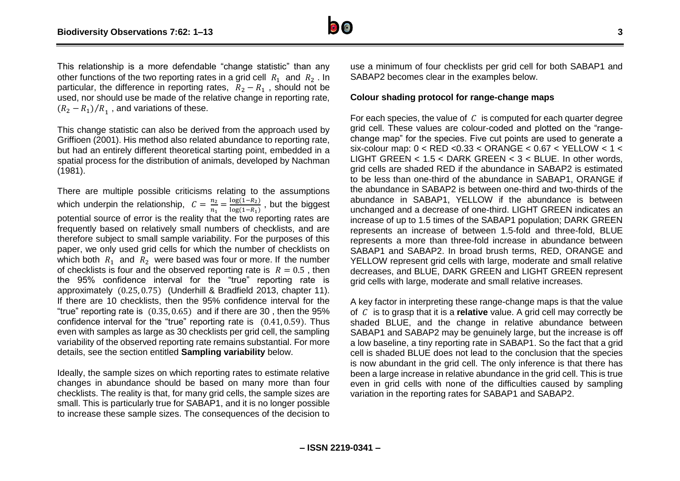

This relationship is a more defendable "change statistic" than any other functions of the two reporting rates in a grid cell  $R_1$  and  $R_2$ . In particular, the difference in reporting rates,  $R_2 - R_1$ , should not be used, nor should use be made of the relative change in reporting rate,  $(R_2 - R_1)/R_1$ , and variations of these.

This change statistic can also be derived from the approach used by Griffioen (2001). His method also related abundance to reporting rate, but had an entirely different theoretical starting point, embedded in a spatial process for the distribution of animals, developed by Nachman (1981).

There are multiple possible criticisms relating to the assumptions which underpin the relationship,  $C = \frac{n_2}{n_1}$  $\frac{n_2}{n_1} = \frac{\log(1-R_2)}{\log(1-R_1)}$  $\frac{\log(1 - R_2)}{\log(1 - R_1)}$ , but the biggest potential source of error is the reality that the two reporting rates are frequently based on relatively small numbers of checklists, and are therefore subject to small sample variability. For the purposes of this paper, we only used grid cells for which the number of checklists on which both  $R_1$  and  $R_2$  were based was four or more. If the number of checklists is four and the observed reporting rate is  $R = 0.5$ , then the 95% confidence interval for the "true" reporting rate is approximately (0.25, 0.75) (Underhill & Bradfield 2013, chapter 11). If there are 10 checklists, then the 95% confidence interval for the "true" reporting rate is  $(0.35, 0.65)$  and if there are 30, then the 95% confidence interval for the "true" reporting rate is (0.41, 0.59). Thus even with samples as large as 30 checklists per grid cell, the sampling variability of the observed reporting rate remains substantial. For more details, see the section entitled **Sampling variability** below.

Ideally, the sample sizes on which reporting rates to estimate relative changes in abundance should be based on many more than four checklists. The reality is that, for many grid cells, the sample sizes are small. This is particularly true for SABAP1, and it is no longer possible to increase these sample sizes. The consequences of the decision to use a minimum of four checklists per grid cell for both SABAP1 and SABAP2 becomes clear in the examples below.

#### **Colour shading protocol for range-change maps**

For each species, the value of  $C$  is computed for each quarter degree grid cell. These values are colour-coded and plotted on the "rangechange map" for the species. Five cut points are used to generate a six-colour map: 0 < RED <0.33 < ORANGE < 0.67 < YELLOW < 1 < LIGHT GREEN < 1.5 < DARK GREEN < 3 < BLUE. In other words, grid cells are shaded RED if the abundance in SABAP2 is estimated to be less than one-third of the abundance in SABAP1, ORANGE if the abundance in SABAP2 is between one-third and two-thirds of the abundance in SABAP1, YELLOW if the abundance is between unchanged and a decrease of one-third. LIGHT GREEN indicates an increase of up to 1.5 times of the SABAP1 population; DARK GREEN represents an increase of between 1.5-fold and three-fold, BLUE represents a more than three-fold increase in abundance between SABAP1 and SABAP2. In broad brush terms, RED, ORANGE and YELLOW represent grid cells with large, moderate and small relative decreases, and BLUE, DARK GREEN and LIGHT GREEN represent grid cells with large, moderate and small relative increases.

A key factor in interpreting these range-change maps is that the value of is to grasp that it is a **relative** value. A grid cell may correctly be shaded BLUE, and the change in relative abundance between SABAP1 and SABAP2 may be genuinely large, but the increase is off a low baseline, a tiny reporting rate in SABAP1. So the fact that a grid cell is shaded BLUE does not lead to the conclusion that the species is now abundant in the grid cell. The only inference is that there has been a large increase in relative abundance in the grid cell. This is true even in grid cells with none of the difficulties caused by sampling variation in the reporting rates for SABAP1 and SABAP2.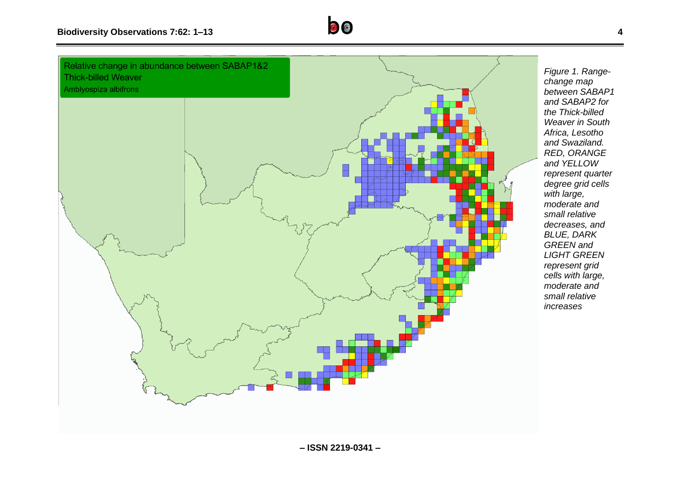

*Figure 1. Rangechange map between SABAP1 and SABAP2 for the Thick-billed Weaver in South Africa, Lesotho and Swaziland. RED, ORANGE and YELLOW represent quarter degree grid cells with large, moderate and small relative decreases, and BLUE, DARK GREEN and LIGHT GREEN represent grid cells with large, moderate and small relative increases*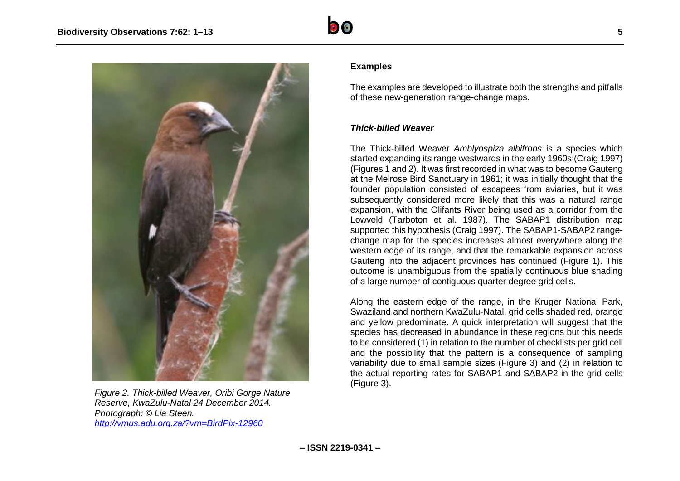



*Figure 2. Thick-billed Weaver, Oribi Gorge Nature Reserve, KwaZulu-Natal 24 December 2014. Photograph: © Lia Steen. <http://vmus.adu.org.za/?vm=BirdPix-12960>*

## **Examples**

The examples are developed to illustrate both the strengths and pitfalls of these new-generation range-change maps.

#### *Thick-billed Weaver*

The Thick-billed Weaver *Amblyospiza albifrons* is a species which started expanding its range westwards in the early 1960s (Craig 1997) (Figures 1 and 2). It was first recorded in what was to become Gauteng at the Melrose Bird Sanctuary in 1961; it was initially thought that the founder population consisted of escapees from aviaries, but it was subsequently considered more likely that this was a natural range expansion, with the Olifants River being used as a corridor from the Lowveld (Tarboton et al. 1987). The SABAP1 distribution map supported this hypothesis (Craig 1997). The SABAP1-SABAP2 rangechange map for the species increases almost everywhere along the western edge of its range, and that the remarkable expansion across Gauteng into the adjacent provinces has continued (Figure 1). This outcome is unambiguous from the spatially continuous blue shading of a large number of contiguous quarter degree grid cells.

Along the eastern edge of the range, in the Kruger National Park, Swaziland and northern KwaZulu-Natal, grid cells shaded red, orange and yellow predominate. A quick interpretation will suggest that the species has decreased in abundance in these regions but this needs to be considered (1) in relation to the number of checklists per grid cell and the possibility that the pattern is a consequence of sampling variability due to small sample sizes (Figure 3) and (2) in relation to the actual reporting rates for SABAP1 and SABAP2 in the grid cells (Figure 3).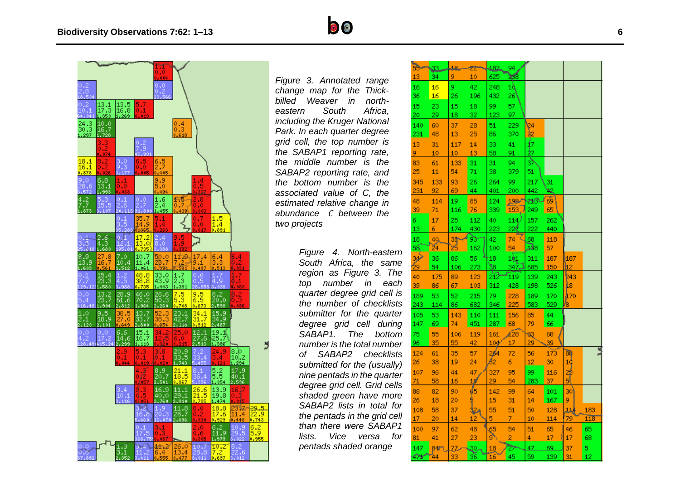$\begin{array}{c} 13.1 \\ 17.3 \\ 1.350 \end{array}$ 

 $\frac{10.0}{16.7}$ 

 $\begin{array}{c} 6.8 \\ 13.1 \\ 1.993 \end{array}$ 

 $\begin{smallmatrix} 2.6 \ 1.3 \end{smallmatrix}$ 

 $\frac{13.2}{23.7}$ 

 $\frac{9.5}{18.9}$ <br>2.101

 $\frac{7.0}{10.4}$ 

 $\underset{61.6}{\text{28.9}}$ 

 $\Big|{}^{6,6}_{14,6}\Big|$ 

44 I.A  $\frac{48.8}{38.8}$ 

 $\frac{46.0}{70.2}$ 

 $\frac{13.7}{33.7}$ <br>2.800

 $\begin{array}{|c|c|}\n 15.1 \\
 \hline\n 16.7 \\
 \hline\n 1.113\n \end{array}$ 

 $\frac{18.1}{16.1}$ <br>0.878

 $\begin{array}{c} 13.5 \\ 16.8 \end{array}$ 

 $0.4$ <br> $0.3$ <br> $0.618$ 

 $\frac{1.5}{1.4}$ <br>0.891

 $\frac{5.4}{3}$ 

19.1 25.7

 $\frac{5.2}{5.5}$ 

 $\substack{13.9\\19.8}$  $.474$ 

 $\frac{18.8}{17.6}$ <br> $\frac{17.6}{0.929}$ 

 $^{6.2}_{11.9}$ 

 $.979$  $\frac{10.2}{7.2}$  23.2-29.5<br>11.4 22.9<br>0.448 0.743

 $\frac{6.2}{5.9}$ <br>0.955

ב

 $\frac{34.1}{31.7}$ 

 $rac{12.1}{27.6}$ 

 $\frac{26.6}{21.5}$ 

 $10.7$ 

159

 $\frac{7.5}{5.3}$ 

 $\frac{23.1}{42.7}$ <br>2.118

 $\begin{array}{c} 20.9 \\ 33.5 \\ 1.743 \end{array}$ 

 $\frac{21.1}{18.5}$ 

 $\frac{11.1}{29.1}$ 

 $\substack{11.6 \\ 28.7}$ 

 $26.0$ 

9.9 dias  $\begin{array}{|c|c|}\n\hline\n1.6 \\
2.4 \\
1.455 \\
\hline\n\end{array}$ 

33.0

 $\begin{array}{c} 26.6 \\ 50.3 \end{array}$ 

 $\begin{array}{c} 8.9 \\ 20.7 \\ 2.501 \end{array}$ 

46.9

19

4452





*Park. In each quarter degree grid cell, the top number is the SABAP1 reporting rate, the middle number is the SABAP2 reporting rate, and the bottom number is the associated value of C, the estimated relative change in abundance between the two projects*

> **– ISSN 2219 -0341 –** *pentads shaded orangeFigure 4. North -eastern South Africa, the same region as Figure 3. The top number in each quarter degree grid cell is the number of checklists submitter for the quarter degree grid cell during SABAP1. The bottom number is the total number of SABAP2 checklists submitted for the (usually) nine pentads in the quarter degree grid cell. Grid cells shaded green have more SABAP2 lists in total for the pentads in the grid cell than there were SABAP1 lists. Vice versa for*

| 55         | 33   | 18.            | zz  | 482.            | 94       |     |      |      |     |
|------------|------|----------------|-----|-----------------|----------|-----|------|------|-----|
| 13         | 34   | 9              | 10  | 625             | ₩        |     |      |      |     |
| 16         | 16   | 9              | 42  | 248             | 10       |     |      |      |     |
| 36         | 16   | 26             | 196 | 432             | 26       |     |      |      |     |
| 15         | 23   | 15             | 18  | 99              | 57       |     |      |      |     |
| 20         | 29   | 18             | 32  | 123             | 97       |     |      |      |     |
| 140        | 60   | 37             | 28  | 51              | 229      | 24  |      |      |     |
| <u>231</u> | 48   | 13             | 25  | 86              | 370      | 42  |      |      |     |
| 13         | 31   | 117            | 14  | 33              | 41       | ſ7  |      |      |     |
| 9.         | 10   | 10             | 13  | 58              | 91       | 47  |      |      |     |
| 83         | 61   | 133            | 31  | 31              | 94       | зŅ  |      |      |     |
| 25         | 11   | 54             | 71  | 38              | 379      | 51  |      |      |     |
| 345        | 133  | 93             | 26  | 264             | 99       | 217 | 31   |      |     |
| 231        | 92   | 69             | 44  | 401             | 200      | 442 | ×.   |      |     |
| 48         | 114  | 19             | 85  | 124             | 199      | ≁∿  | 69   |      |     |
| 39         | 71   | 116            | 76  | 339             | 153      | 249 | 65   |      |     |
| 6.         | 17   | 25             | 112 | 40              | 114      | 157 | 262  |      |     |
| 13         | 6    | 174            | 430 | 223             | 22€      | 222 | 440  |      |     |
| 18         | 40.  | 38N            | 93  | 42              | 74       | 68  | 118  |      |     |
| 55         | 24   | 25             | 162 | 100             | 54       | Дs  | 57   |      |     |
| зψ         | 36   | 86             | 56  | 18              | 1ф1      | 311 | 187  | 187  |     |
| 29         | 54   | 106            | 273 | ٦s              | $34 - 1$ | 685 | 150  | 12   |     |
| 40         | 175  | 89             | 123 | 212             | 119      | 139 | 243  | '243 |     |
| 39         | 86   | 67             | 103 | 312             | 428      | 198 | 526  | L8.  |     |
| 189        | 53   | 52             | 215 | 79              | 228      | 189 | 170  | 470  |     |
| 243        | 114  | 86             | 682 | 346             | 225      | 583 | 529  |      |     |
| 105        | 53   | 143            | 110 | 111             | 156      | 85  | 44   |      |     |
| 147        | 69   | 74             | 451 | 287             | 68       | 79  | 66   |      |     |
| 75         | 55   | 106            | 119 | 161             | 628      | 83  | 68   |      |     |
| 96         | 35   | 55             | 42  | 10 <sub>9</sub> | 17       | 29  | 39   |      |     |
| 124        | 61   | 35             | 57  | 284             | 72       | 56  | 173  | 88   |     |
| 26         | 38   | 19             | 24  | 62              | 6        | 12  | 30   | 1¢   |     |
| 107        | 96   | 44             | 47  | 327             | 95       | 99  | 116  | 2β   |     |
| 71         | 58   | 16             | 10  | 29              | 54       | 283 | 37   | 51   |     |
| 88         | 82   | 90             | 65  | 142             | 99       | 64  | 101  | 30   |     |
| 26         | 18   | 20             | 5   | 15              | 31       | 14  | 167  | 9.   |     |
| 108        | 58   | 37             | 12  | 55              | 51       | 50  | 128  | 11.  | 183 |
| 17         | 20   | 14             | 12  | 5.              | 7        | 10  | 114  | 79   | 118 |
| 100        | 97   | 62             | 48  | 65              | 54       | 51  | 65   | 46   | 65  |
| 81         | 41   | 27             | 23  | ø               | 2        | 4   | 17   | 17   | 68  |
| 147        | 84 t | $\overline{z}$ | æ   | $\overline{18}$ | ማ        | 47  | 69   | 37   | 5.  |
| والشجير    |      |                |     |                 | ٨Ė       |     | a oc | OA.  | a m |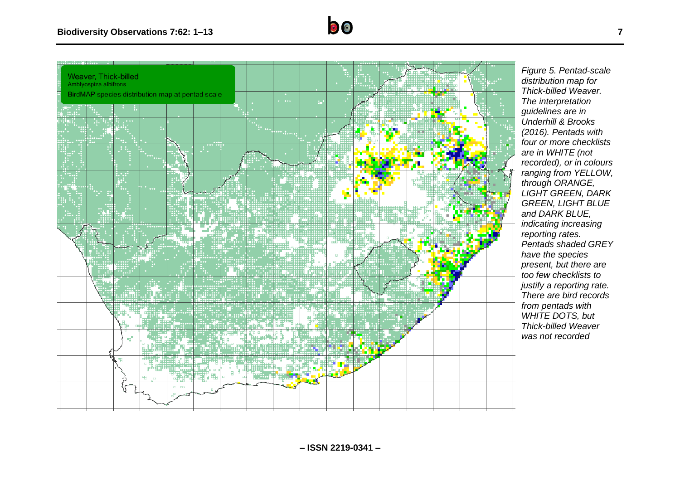

*Figure 5. Pentad-scale distribution map for Thick-billed Weaver. The interpretation guidelines are in Underhill & Brooks (2016). Pentads with four or more checklists are in WHITE (not recorded), or in colours ranging from YELLOW, through ORANGE, LIGHT GREEN, DARK GREEN, LIGHT BLUE and DARK BLUE, indicating increasing reporting rates. Pentads shaded GREY have the species present, but there are too few checklists to justify a reporting rate. There are bird records from pentads with WHITE DOTS, but Thick-billed Weaver was not recorded*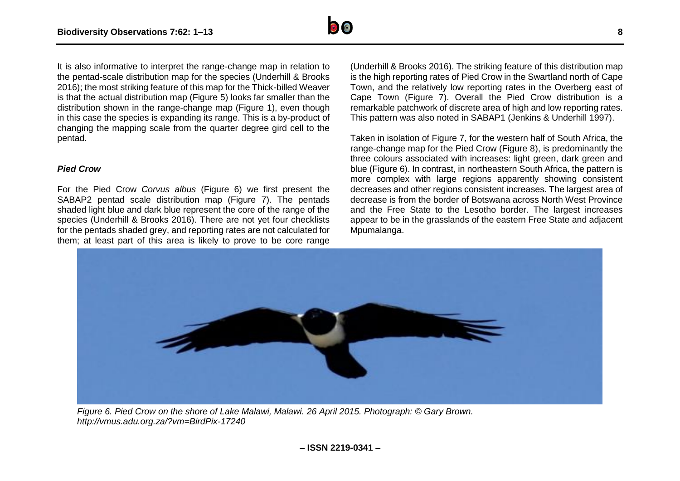

It is also informative to interpret the range-change map in relation to the pentad-scale distribution map for the species (Underhill & Brooks 2016); the most striking feature of this map for the Thick-billed Weaver is that the actual distribution map (Figure 5) looks far smaller than the distribution shown in the range-change map (Figure 1), even though in this case the species is expanding its range. This is a by-product of changing the mapping scale from the quarter degree gird cell to the pentad.

## *Pied Crow*

For the Pied Crow *Corvus albus* (Figure 6) we first present the SABAP2 pentad scale distribution map (Figure 7). The pentads shaded light blue and dark blue represent the core of the range of the species (Underhill & Brooks 2016). There are not yet four checklists for the pentads shaded grey, and reporting rates are not calculated for them; at least part of this area is likely to prove to be core range

(Underhill & Brooks 2016). The striking feature of this distribution map is the high reporting rates of Pied Crow in the Swartland north of Cape Town, and the relatively low reporting rates in the Overberg east of Cape Town (Figure 7). Overall the Pied Crow distribution is a remarkable patchwork of discrete area of high and low reporting rates. This pattern was also noted in SABAP1 (Jenkins & Underhill 1997).

Taken in isolation of Figure 7, for the western half of South Africa, the range-change map for the Pied Crow (Figure 8), is predominantly the three colours associated with increases: light green, dark green and blue (Figure 6). In contrast, in northeastern South Africa, the pattern is more complex with large regions apparently showing consistent decreases and other regions consistent increases. The largest area of decrease is from the border of Botswana across North West Province and the Free State to the Lesotho border. The largest increases appear to be in the grasslands of the eastern Free State and adjacent Mpumalanga.



*Figure 6. Pied Crow on the shore of Lake Malawi, Malawi. 26 April 2015. Photograph: © Gary Brown. http://vmus.adu.org.za/?vm=BirdPix-17240*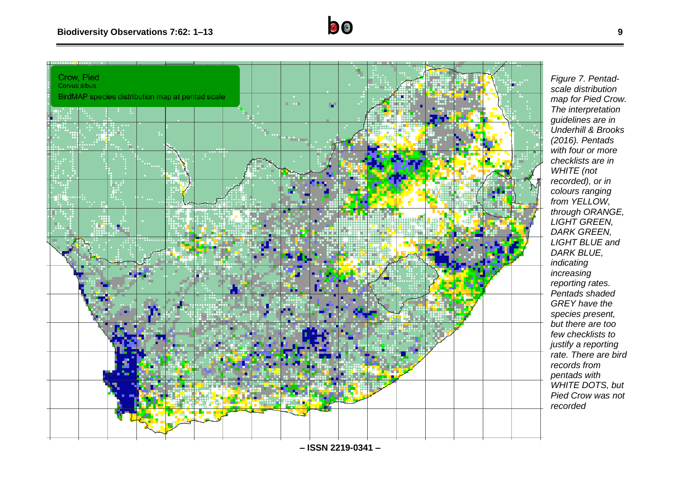

*Figure 7. Pentadscale distribution map for Pied Crow. The interpretation guidelines are in Underhill & Brooks (2016). Pentads with four or more checklists are in WHITE (not recorded), or in colours ranging from YELLOW, through ORANGE, LIGHT GREEN, DARK GREEN, LIGHT BLUE and DARK BLUE, indicating increasing reporting rates. Pentads shaded GREY have the species present, but there are too few checklists to justify a reporting rate. There are bird records from pentads with WHITE DOTS, but Pied Crow was not recorded* 

**9**

**– ISSN 2219 -0341 –**

 $\bullet$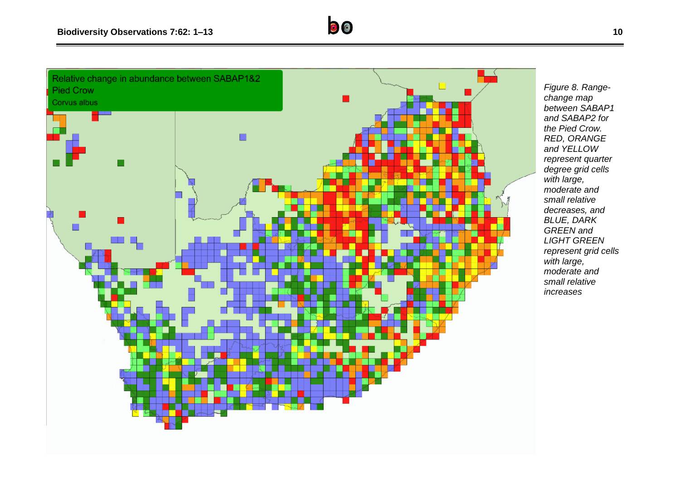

*Figure 8. Rangechange map between SABAP1 and SABAP2 for the Pied Crow. RED, ORANGE and YELLOW represent quarter degree grid cells with large, moderate and small relative decreases, and BLUE, DARK GREEN and LIGHT GREEN represent grid cells with large, moderate and small relative increases*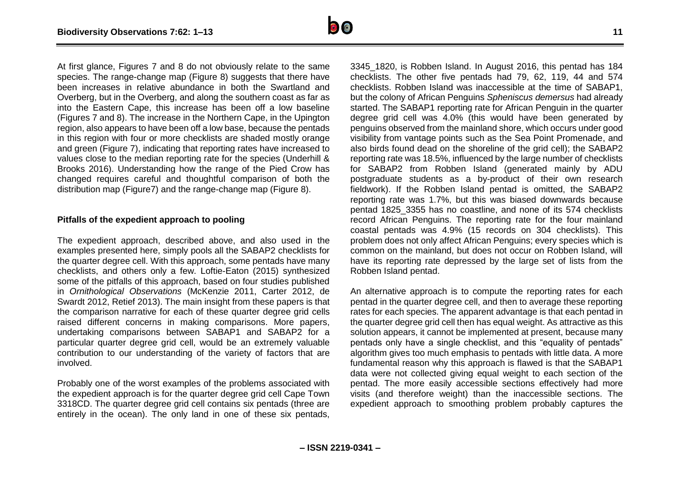**– ISSN 2219-0341 –**

At first glance. Figures 7 and 8 do not obviously relate to the same species. The range-change map (Figure 8) suggests that there have been increases in relative abundance in both the Swartland and Overberg, but in the Overberg, and along the southern coast as far as into the Eastern Cape, this increase has been off a low baseline (Figures 7 and 8). The increase in the Northern Cape, in the Upington region, also appears to have been off a low base, because the pentads in this region with four or more checklists are shaded mostly orange and green (Figure 7), indicating that reporting rates have increased to values close to the median reporting rate for the species (Underhill & Brooks 2016). Understanding how the range of the Pied Crow has changed requires careful and thoughtful comparison of both the distribution map (Figure7) and the range-change map (Figure 8).

## **Pitfalls of the expedient approach to pooling**

The expedient approach, described above, and also used in the examples presented here, simply pools all the SABAP2 checklists for the quarter degree cell. With this approach, some pentads have many checklists, and others only a few. Loftie-Eaton (2015) synthesized some of the pitfalls of this approach, based on four studies published in *Ornithological Observations* (McKenzie 2011, Carter 2012, de Swardt 2012, Retief 2013). The main insight from these papers is that the comparison narrative for each of these quarter degree grid cells raised different concerns in making comparisons. More papers, undertaking comparisons between SABAP1 and SABAP2 for a particular quarter degree grid cell, would be an extremely valuable contribution to our understanding of the variety of factors that are involved.

Probably one of the worst examples of the problems associated with the expedient approach is for the quarter degree grid cell Cape Town 3318CD. The quarter degree grid cell contains six pentads (three are entirely in the ocean). The only land in one of these six pentads,

3345\_1820, is Robben Island. In August 2016, this pentad has 184 checklists. The other five pentads had 79, 62, 119, 44 and 574 checklists. Robben Island was inaccessible at the time of SABAP1, but the colony of African Penguins *Spheniscus demersus* had already started. The SABAP1 reporting rate for African Penguin in the quarter degree grid cell was 4.0% (this would have been generated by penguins observed from the mainland shore, which occurs under good visibility from vantage points such as the Sea Point Promenade, and also birds found dead on the shoreline of the grid cell); the SABAP2 reporting rate was 18.5%, influenced by the large number of checklists for SABAP2 from Robben Island (generated mainly by ADU postgraduate students as a by-product of their own research fieldwork). If the Robben Island pentad is omitted, the SABAP2 reporting rate was 1.7%, but this was biased downwards because pentad 1825\_3355 has no coastline, and none of its 574 checklists record African Penguins. The reporting rate for the four mainland coastal pentads was 4.9% (15 records on 304 checklists). This problem does not only affect African Penguins; every species which is common on the mainland, but does not occur on Robben Island, will have its reporting rate depressed by the large set of lists from the Robben Island pentad.

An alternative approach is to compute the reporting rates for each pentad in the quarter degree cell, and then to average these reporting rates for each species. The apparent advantage is that each pentad in the quarter degree grid cell then has equal weight. As attractive as this solution appears, it cannot be implemented at present, because many pentads only have a single checklist, and this "equality of pentads" algorithm gives too much emphasis to pentads with little data. A more fundamental reason why this approach is flawed is that the SABAP1 data were not collected giving equal weight to each section of the pentad. The more easily accessible sections effectively had more visits (and therefore weight) than the inaccessible sections. The expedient approach to smoothing problem probably captures the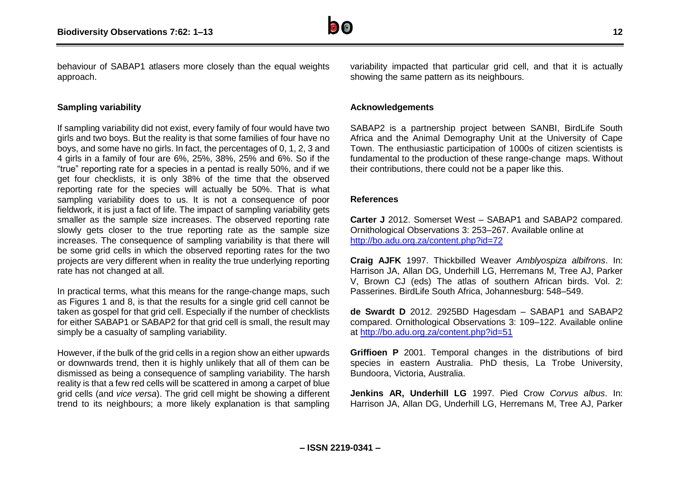

behaviour of SABAP1 atlasers more closely than the equal weights approach.

## **Sampling variability**

If sampling variability did not exist, every family of four would have two girls and two boys. But the reality is that some families of four have no boys, and some have no girls. In fact, the percentages of 0, 1, 2, 3 and 4 girls in a family of four are 6%, 25%, 38%, 25% and 6%. So if the "true" reporting rate for a species in a pentad is really 50%, and if we get four checklists, it is only 38% of the time that the observed reporting rate for the species will actually be 50%. That is what sampling variability does to us. It is not a consequence of poor fieldwork, it is just a fact of life. The impact of sampling variability gets smaller as the sample size increases. The observed reporting rate slowly gets closer to the true reporting rate as the sample size increases. The consequence of sampling variability is that there will be some grid cells in which the observed reporting rates for the two projects are very different when in reality the true underlying reporting rate has not changed at all.

In practical terms, what this means for the range-change maps, such as Figures 1 and 8, is that the results for a single grid cell cannot be taken as gospel for that grid cell. Especially if the number of checklists for either SABAP1 or SABAP2 for that grid cell is small, the result may simply be a casualty of sampling variability.

However, if the bulk of the grid cells in a region show an either upwards or downwards trend, then it is highly unlikely that all of them can be dismissed as being a consequence of sampling variability. The harsh reality is that a few red cells will be scattered in among a carpet of blue grid cells (and *vice versa*). The grid cell might be showing a different trend to its neighbours; a more likely explanation is that sampling variability impacted that particular grid cell, and that it is actually showing the same pattern as its neighbours.

## **Acknowledgements**

SABAP2 is a partnership project between SANBI, BirdLife South Africa and the Animal Demography Unit at the University of Cape Town. The enthusiastic participation of 1000s of citizen scientists is fundamental to the production of these range-change maps. Without their contributions, there could not be a paper like this.

#### **References**

**Carter J** 2012. Somerset West – SABAP1 and SABAP2 compared. Ornithological Observations 3: 253–267. Available online at <http://bo.adu.org.za/content.php?id=72>

**Craig AJFK** 1997. Thickbilled Weaver *Amblyospiza albifrons*. In: Harrison JA, Allan DG, Underhill LG, Herremans M, Tree AJ, Parker V, Brown CJ (eds) The atlas of southern African birds. Vol. 2: Passerines. BirdLife South Africa, Johannesburg: 548–549.

**de Swardt D** 2012. 2925BD Hagesdam – SABAP1 and SABAP2 compared. Ornithological Observations 3: 109–122. Available online at<http://bo.adu.org.za/content.php?id=51>

**Griffioen P** 2001. Temporal changes in the distributions of bird species in eastern Australia. PhD thesis, La Trobe University, Bundoora, Victoria, Australia.

**Jenkins AR, Underhill LG** 1997. Pied Crow *Corvus albus*. In: Harrison JA, Allan DG, Underhill LG, Herremans M, Tree AJ, Parker